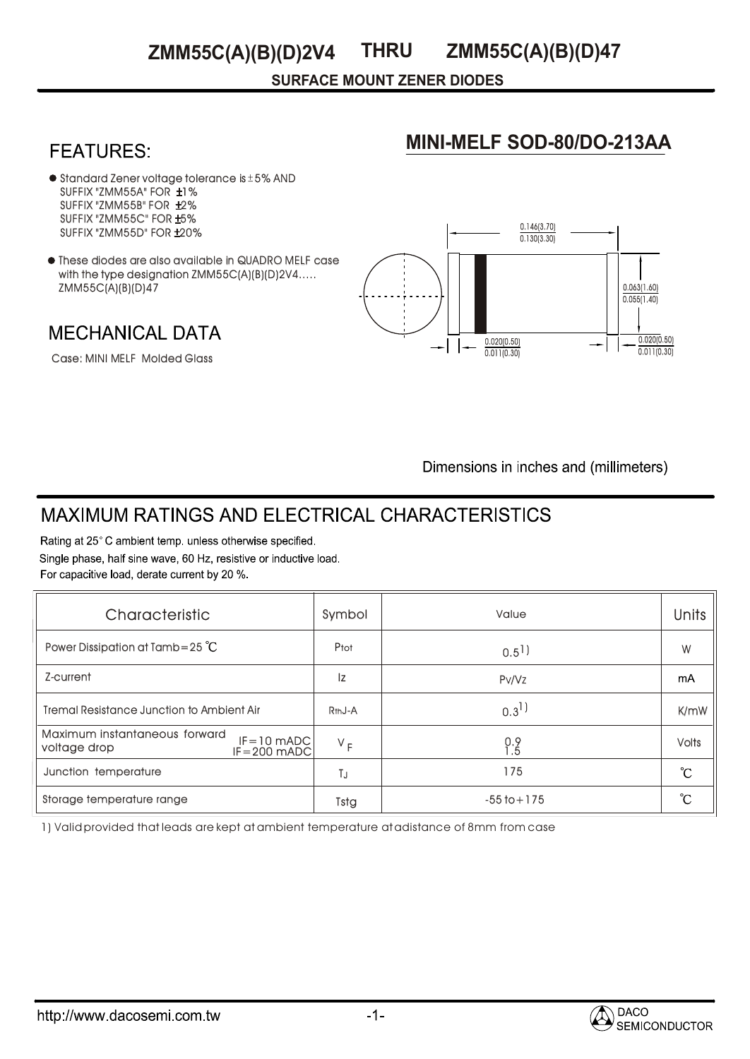#### **THRU ZMM55C(A)(B)(D)2V4**

**SURFACE MOUNT ZENER DIODES**

# **MINI-MELF SOD-80/DO-213AA**

0.146(3.70) 0.130(3.30)

- $\bullet$  Standard Zener voltage tolerance is  $\pm$  5% AND SUFFIX "ZMM55A" FOR ±1% SUFFIX "ZMM55B" FOR ±2% SUFFIX "ZMM55C" FOR ±5% SUFFIX "ZMM55D" FOR ±20% Standard Zener voltage tolerance Is ± 5% AND<br>SUFFIX "ZMM55A" FOR ±1%<br>SUFFIX "ZMM55B" FOR ±2%<br>SUFFIX "ZMM55C" FOR ±5%<br>SUFFIX "ZMM55D" FOR ±20%<br>These diodes are also available in QUADRO MELF case **ZMM55C(A)(B)(D)2V4 THRU ZMM55C(A)(B)(D)47**<br>
SURFACE MOUNT ZENER DIODES<br>
IX 'ZMM55C' FOR ±1%<br>
IX 'ZMM55C' FOR ±2%<br>
IX 'ZMM55C' FOR ±2%<br>
IX 'ZMM55C' FOR ±2%<br>
a dlodes are also available in QJADRO MELF case<br>
e dlodes are al
- with the type designation ZMM55C(A)(B)(D)2V4..... ZMM55C(A)(B)(D)47

**MECHANICAL DATA** 

Case: MINI MELF Molded Glass

 $0.055(1.40)$ 0.020(0.50) 0.011(0.30) 0.020(0.50)  $0.011(0.30)$ 

0.063(1.60)

Dimensions in inches and (millimeters)

# **MAXIMUM RATINGS AND ELECTRICAL CHARACTERISTICS**

Rating at 25°C ambient temp. unless otherwise specified. Single phase, half sine wave, 60 Hz, resistive or inductive load. For capacitive load, derate current by 20 %.

| Characteristic                                                                     | Symbol              | Value                | <b>Units</b> |
|------------------------------------------------------------------------------------|---------------------|----------------------|--------------|
| Power Dissipation at Tamb=25 $^{\circ}$ C                                          | Ptot                | $0.5$ <sup>1</sup> ) | W            |
| Z-current                                                                          | Iz                  | Pv/Vz                | mA           |
| Tremal Resistance Junction to Ambient Air                                          | R <sub>th</sub> J-A | $0.3^{1}$            | K/mW         |
| Maximum instantaneous forward<br>$IF = 10$ mADC<br>voltage drop<br>$IF = 200$ mADC | $V_F$               | $0.9$<br>$1.5$       | <b>Volts</b> |
| Junction temperature                                                               | TJ                  | 175                  | °C           |
| Storage temperature range                                                          | Tstg                | $-55$ to $+175$      | °C           |

1) Valid provided that leads are kept at ambient temperature at adistance of 8mm from case

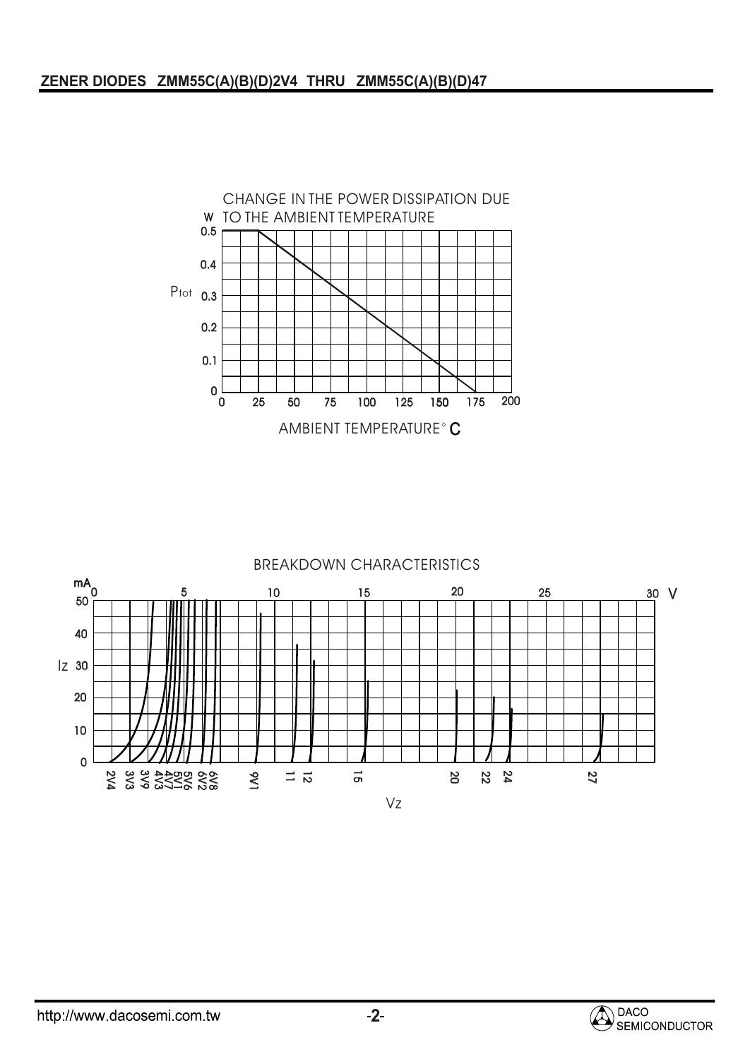

#### BREAKDOWN CHARACTERISTICS